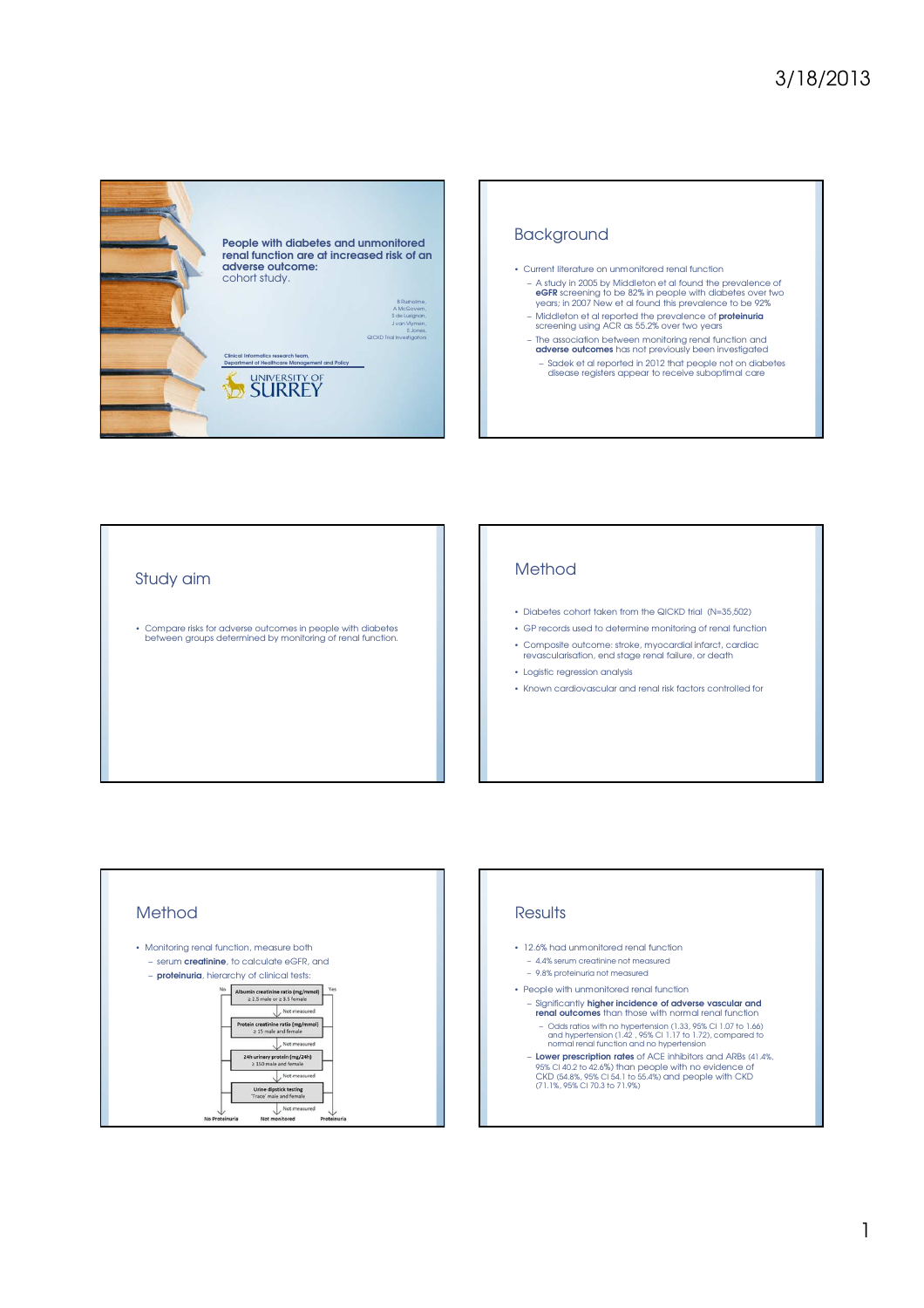



## Study aim

• Compare risks for adverse outcomes in people with diabetes between groups determined by monitoring of renal function.

## Method

- Diabetes cohort taken from the QICKD trial (N=35,502)
- GP records used to determine monitoring of renal function
- Composite outcome: stroke, myocardial infarct, cardiac revascularisation, end stage renal failure, or death
- Logistic regression analysis
- Known cardiovascular and renal risk factors controlled for



## **Results**

- 12.6% had unmonitored renal function
	- 4.4% serum creatinine not measured
	- 9.8% proteinuria not measured
- People with unmonitored renal function
	- Significantly higher incidence of adverse vascular and renal outcomes than those with normal renal function
	- Odds ratios with no hypertension (1.33, 95% CI 1.07 to 1.66) and hypertension (1.42 , 95% CI 1.17 to 1.72), compared to normal renal function and no hypertension – Lower prescription rates of ACE inhibitors and ARBs (41.4%,
	- 95% CI 40.2 to 42.6%) than people with no evidence of CKD (54.8%, 95% CI 54.1 to 55.4%) and people with CKD (71.1%, 95% CI 70.3 to 71.9%)